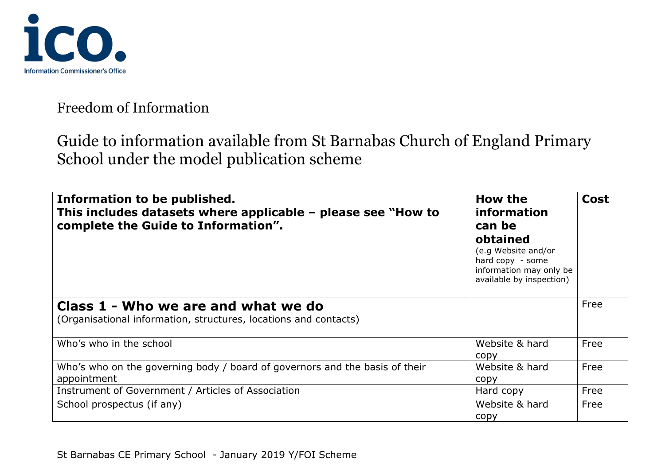

| Information to be published.<br>This includes datasets where applicable $-$ please see "How to<br>complete the Guide to Information". | How the<br>information<br>can be<br>obtained<br>(e.g Website and/or<br>hard copy - some<br>information may only be<br>available by inspection) | Cost |
|---------------------------------------------------------------------------------------------------------------------------------------|------------------------------------------------------------------------------------------------------------------------------------------------|------|
| Class 1 - Who we are and what we do                                                                                                   |                                                                                                                                                | Free |
| (Organisational information, structures, locations and contacts)                                                                      |                                                                                                                                                |      |
| Who's who in the school                                                                                                               | Website & hard<br>copy                                                                                                                         | Free |
| Who's who on the governing body / board of governors and the basis of their<br>appointment                                            | Website & hard<br>copy                                                                                                                         | Free |
| Instrument of Government / Articles of Association                                                                                    | Hard copy                                                                                                                                      | Free |
| School prospectus (if any)                                                                                                            | Website & hard<br>copy                                                                                                                         | Free |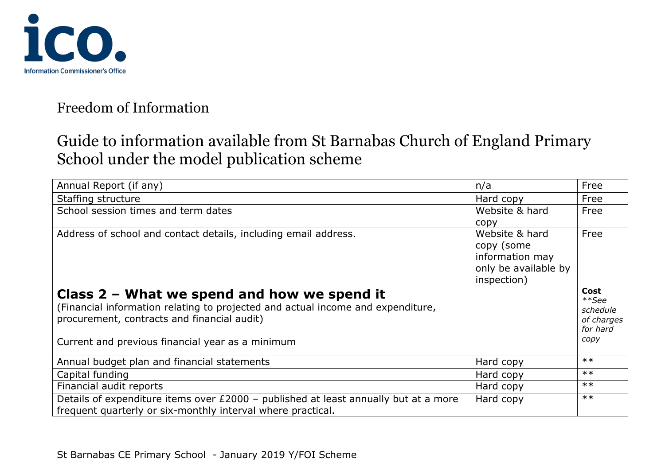

| Annual Report (if any)                                                                                                                                                                                                              | n/a                                                                                    | Free                                                        |
|-------------------------------------------------------------------------------------------------------------------------------------------------------------------------------------------------------------------------------------|----------------------------------------------------------------------------------------|-------------------------------------------------------------|
| Staffing structure                                                                                                                                                                                                                  | Hard copy                                                                              | Free                                                        |
| School session times and term dates                                                                                                                                                                                                 | Website & hard<br>copy                                                                 | Free                                                        |
| Address of school and contact details, including email address.                                                                                                                                                                     | Website & hard<br>copy (some<br>information may<br>only be available by<br>inspection) | Free                                                        |
| Class $2$ – What we spend and how we spend it<br>(Financial information relating to projected and actual income and expenditure,<br>procurement, contracts and financial audit)<br>Current and previous financial year as a minimum |                                                                                        | Cost<br>**See<br>schedule<br>of charges<br>for hard<br>copy |
| Annual budget plan and financial statements                                                                                                                                                                                         | Hard copy                                                                              | $**$                                                        |
| Capital funding                                                                                                                                                                                                                     | Hard copy                                                                              | $**$                                                        |
| Financial audit reports                                                                                                                                                                                                             | Hard copy                                                                              | $**$                                                        |
| Details of expenditure items over £2000 - published at least annually but at a more<br>frequent quarterly or six-monthly interval where practical.                                                                                  | Hard copy                                                                              | $**$                                                        |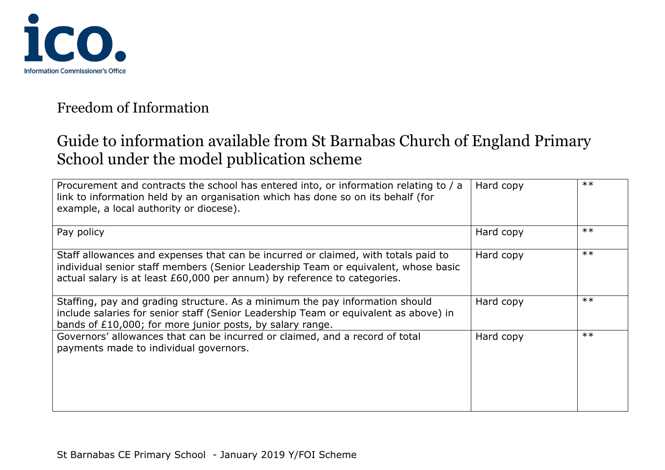

| Procurement and contracts the school has entered into, or information relating to / a<br>link to information held by an organisation which has done so on its behalf (for<br>example, a local authority or diocese).                                 | Hard copy | $**$ |
|------------------------------------------------------------------------------------------------------------------------------------------------------------------------------------------------------------------------------------------------------|-----------|------|
| Pay policy                                                                                                                                                                                                                                           | Hard copy | $**$ |
| Staff allowances and expenses that can be incurred or claimed, with totals paid to<br>individual senior staff members (Senior Leadership Team or equivalent, whose basic<br>actual salary is at least £60,000 per annum) by reference to categories. | Hard copy | $**$ |
| Staffing, pay and grading structure. As a minimum the pay information should<br>include salaries for senior staff (Senior Leadership Team or equivalent as above) in<br>bands of £10,000; for more junior posts, by salary range.                    | Hard copy | $**$ |
| Governors' allowances that can be incurred or claimed, and a record of total<br>payments made to individual governors.                                                                                                                               | Hard copy | $**$ |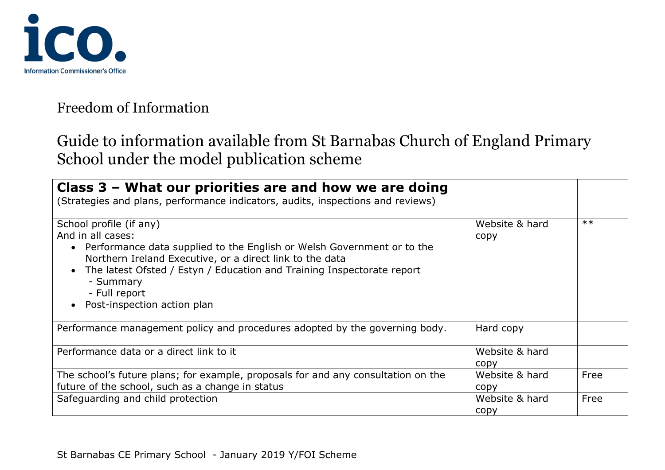

| Class $3$ – What our priorities are and how we are doing<br>(Strategies and plans, performance indicators, audits, inspections and reviews)                                                                                                                                                                                   |                        |      |
|-------------------------------------------------------------------------------------------------------------------------------------------------------------------------------------------------------------------------------------------------------------------------------------------------------------------------------|------------------------|------|
| School profile (if any)<br>And in all cases:<br>• Performance data supplied to the English or Welsh Government or to the<br>Northern Ireland Executive, or a direct link to the data<br>The latest Ofsted / Estyn / Education and Training Inspectorate report<br>- Summary<br>- Full report<br>• Post-inspection action plan | Website & hard<br>copy | $**$ |
| Performance management policy and procedures adopted by the governing body.                                                                                                                                                                                                                                                   | Hard copy              |      |
| Performance data or a direct link to it                                                                                                                                                                                                                                                                                       | Website & hard<br>copy |      |
| The school's future plans; for example, proposals for and any consultation on the<br>future of the school, such as a change in status                                                                                                                                                                                         | Website & hard<br>copy | Free |
| Safeguarding and child protection                                                                                                                                                                                                                                                                                             | Website & hard<br>copy | Free |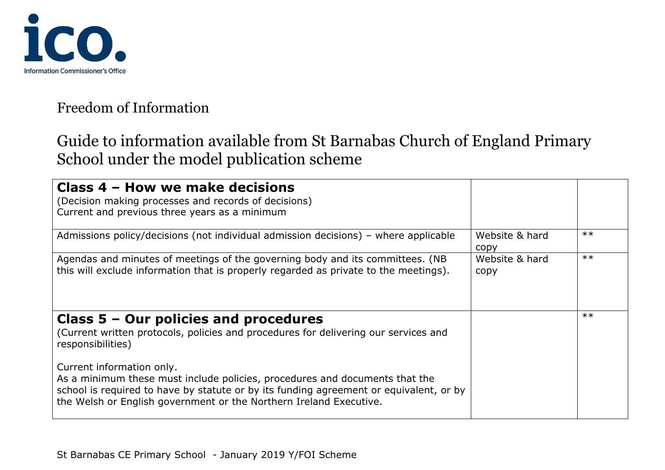

| Class 4 - How we make decisions<br>(Decision making processes and records of decisions)<br>Current and previous three years as a minimum                                                                                                                                 |                        |      |
|--------------------------------------------------------------------------------------------------------------------------------------------------------------------------------------------------------------------------------------------------------------------------|------------------------|------|
| Admissions policy/decisions (not individual admission decisions) – where applicable                                                                                                                                                                                      | Website & hard<br>copy | $**$ |
| Agendas and minutes of meetings of the governing body and its committees. (NB<br>this will exclude information that is properly regarded as private to the meetings).                                                                                                    | Website & hard<br>copy | $**$ |
| Class $5 -$ Our policies and procedures<br>(Current written protocols, policies and procedures for delivering our services and<br>responsibilities)                                                                                                                      |                        | $**$ |
| Current information only.<br>As a minimum these must include policies, procedures and documents that the<br>school is required to have by statute or by its funding agreement or equivalent, or by<br>the Welsh or English government or the Northern Ireland Executive. |                        |      |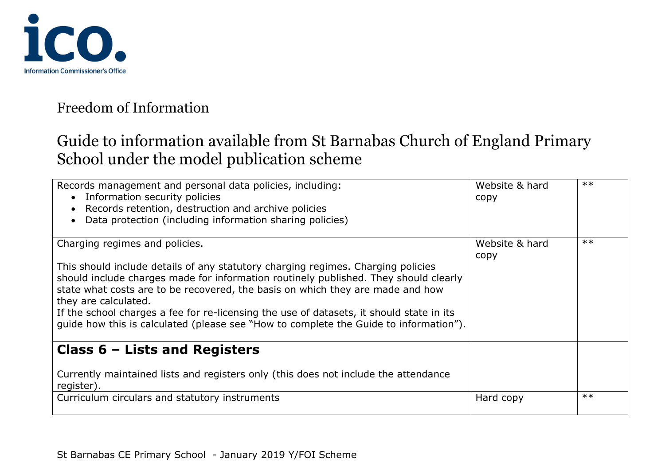

| Records management and personal data policies, including:<br>• Information security policies<br>Records retention, destruction and archive policies<br>Data protection (including information sharing policies)                                                                                                                                                                                                                                                                                           | Website & hard<br>copy | $**$ |
|-----------------------------------------------------------------------------------------------------------------------------------------------------------------------------------------------------------------------------------------------------------------------------------------------------------------------------------------------------------------------------------------------------------------------------------------------------------------------------------------------------------|------------------------|------|
| Charging regimes and policies.<br>This should include details of any statutory charging regimes. Charging policies<br>should include charges made for information routinely published. They should clearly<br>state what costs are to be recovered, the basis on which they are made and how<br>they are calculated.<br>If the school charges a fee for re-licensing the use of datasets, it should state in its<br>quide how this is calculated (please see "How to complete the Guide to information"). | Website & hard<br>copy | $**$ |
| Class $6$ – Lists and Registers<br>Currently maintained lists and registers only (this does not include the attendance                                                                                                                                                                                                                                                                                                                                                                                    |                        |      |
| register).<br>Curriculum circulars and statutory instruments                                                                                                                                                                                                                                                                                                                                                                                                                                              | Hard copy              | $**$ |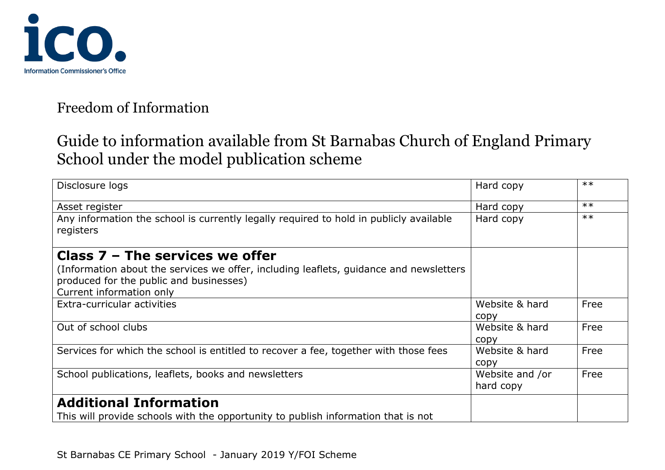

# Guide to information available from St Barnabas Church of England Primary School under the model publication scheme

| Disclosure logs                                                                                                                   | Hard copy       | $**$  |
|-----------------------------------------------------------------------------------------------------------------------------------|-----------------|-------|
| Asset register                                                                                                                    | Hard copy       | $***$ |
| Any information the school is currently legally required to hold in publicly available                                            | Hard copy       | $***$ |
| registers                                                                                                                         |                 |       |
| Class $7$ – The services we offer                                                                                                 |                 |       |
| (Information about the services we offer, including leaflets, guidance and newsletters<br>produced for the public and businesses) |                 |       |
| Current information only                                                                                                          |                 |       |
| Extra-curricular activities                                                                                                       | Website & hard  | Free  |
|                                                                                                                                   | copy            |       |
| Out of school clubs                                                                                                               | Website & hard  | Free  |
|                                                                                                                                   | copy            |       |
| Services for which the school is entitled to recover a fee, together with those fees                                              | Website & hard  | Free  |
|                                                                                                                                   | copy            |       |
| School publications, leaflets, books and newsletters                                                                              | Website and /or | Free  |
|                                                                                                                                   | hard copy       |       |
| <b>Additional Information</b>                                                                                                     |                 |       |
| This will provide schools with the opportunity to publish information that is not                                                 |                 |       |

St Barnabas CE Primary School - January 2019 Y/FOI Scheme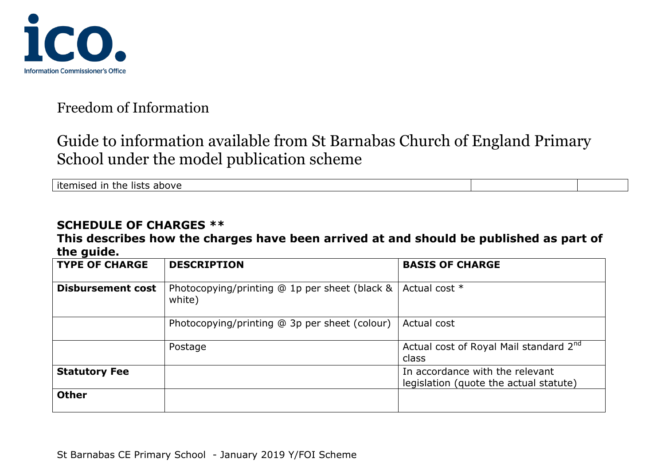

## Guide to information available from St Barnabas Church of England Primary School under the model publication scheme

itemised in the lists above

#### **SCHEDULE OF CHARGES \*\***

#### **This describes how the charges have been arrived at and should be published as part of the guide.**

| <b>TYPE OF CHARGE</b>    | <b>DESCRIPTION</b>                                      | <b>BASIS OF CHARGE</b>                                                    |
|--------------------------|---------------------------------------------------------|---------------------------------------------------------------------------|
| <b>Disbursement cost</b> | Photocopying/printing @ 1p per sheet (black &<br>white) | Actual cost *                                                             |
|                          | Photocopying/printing @ 3p per sheet (colour)           | Actual cost                                                               |
|                          | Postage                                                 | Actual cost of Royal Mail standard 2 <sup>nd</sup><br>class               |
| <b>Statutory Fee</b>     |                                                         | In accordance with the relevant<br>legislation (quote the actual statute) |
| <b>Other</b>             |                                                         |                                                                           |